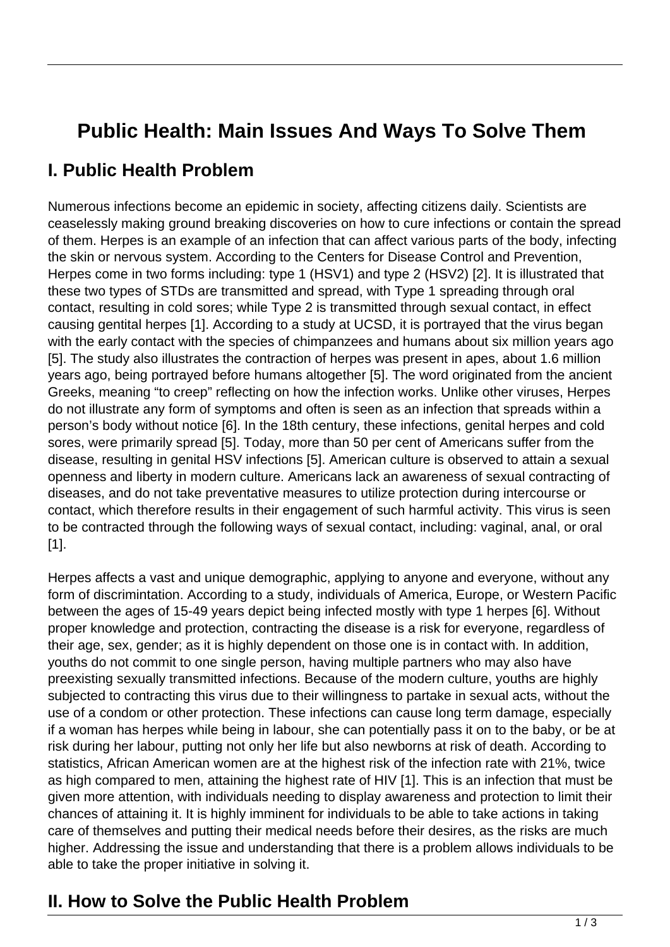## **Public Health: Main Issues And Ways To Solve Them**

## **I. Public Health Problem**

Numerous infections become an epidemic in society, affecting citizens daily. Scientists are ceaselessly making ground breaking discoveries on how to cure infections or contain the spread of them. Herpes is an example of an infection that can affect various parts of the body, infecting the skin or nervous system. According to the Centers for Disease Control and Prevention, Herpes come in two forms including: type 1 (HSV1) and type 2 (HSV2) [2]. It is illustrated that these two types of STDs are transmitted and spread, with Type 1 spreading through oral contact, resulting in cold sores; while Type 2 is transmitted through sexual contact, in effect causing gentital herpes [1]. According to a study at UCSD, it is portrayed that the virus began with the early contact with the species of chimpanzees and humans about six million years ago [5]. The study also illustrates the contraction of herpes was present in apes, about 1.6 million years ago, being portrayed before humans altogether [5]. The word originated from the ancient Greeks, meaning "to creep" reflecting on how the infection works. Unlike other viruses, Herpes do not illustrate any form of symptoms and often is seen as an infection that spreads within a person's body without notice [6]. In the 18th century, these infections, genital herpes and cold sores, were primarily spread [5]. Today, more than 50 per cent of Americans suffer from the disease, resulting in genital HSV infections [5]. American culture is observed to attain a sexual openness and liberty in modern culture. Americans lack an awareness of sexual contracting of diseases, and do not take preventative measures to utilize protection during intercourse or contact, which therefore results in their engagement of such harmful activity. This virus is seen to be contracted through the following ways of sexual contact, including: vaginal, anal, or oral [1].

Herpes affects a vast and unique demographic, applying to anyone and everyone, without any form of discrimintation. According to a study, individuals of America, Europe, or Western Pacific between the ages of 15-49 years depict being infected mostly with type 1 herpes [6]. Without proper knowledge and protection, contracting the disease is a risk for everyone, regardless of their age, sex, gender; as it is highly dependent on those one is in contact with. In addition, youths do not commit to one single person, having multiple partners who may also have preexisting sexually transmitted infections. Because of the modern culture, youths are highly subjected to contracting this virus due to their willingness to partake in sexual acts, without the use of a condom or other protection. These infections can cause long term damage, especially if a woman has herpes while being in labour, she can potentially pass it on to the baby, or be at risk during her labour, putting not only her life but also newborns at risk of death. According to statistics, African American women are at the highest risk of the infection rate with 21%, twice as high compared to men, attaining the highest rate of HIV [1]. This is an infection that must be given more attention, with individuals needing to display awareness and protection to limit their chances of attaining it. It is highly imminent for individuals to be able to take actions in taking care of themselves and putting their medical needs before their desires, as the risks are much higher. Addressing the issue and understanding that there is a problem allows individuals to be able to take the proper initiative in solving it.

## **II. How to Solve the Public Health Problem**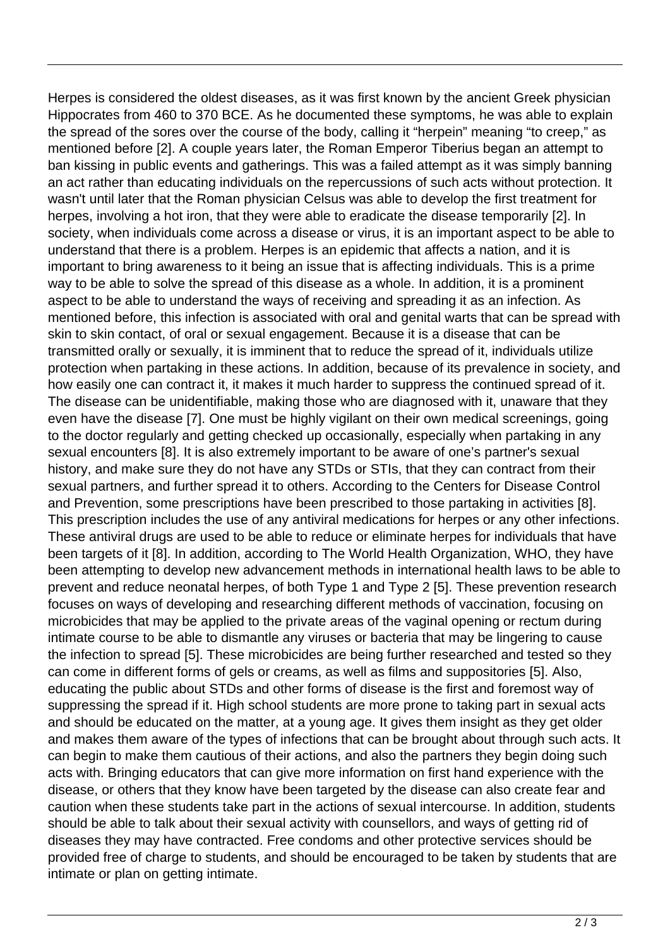Herpes is considered the oldest diseases, as it was first known by the ancient Greek physician Hippocrates from 460 to 370 BCE. As he documented these symptoms, he was able to explain the spread of the sores over the course of the body, calling it "herpein" meaning "to creep," as mentioned before [2]. A couple years later, the Roman Emperor Tiberius began an attempt to ban kissing in public events and gatherings. This was a failed attempt as it was simply banning an act rather than educating individuals on the repercussions of such acts without protection. It wasn't until later that the Roman physician Celsus was able to develop the first treatment for herpes, involving a hot iron, that they were able to eradicate the disease temporarily [2]. In society, when individuals come across a disease or virus, it is an important aspect to be able to understand that there is a problem. Herpes is an epidemic that affects a nation, and it is important to bring awareness to it being an issue that is affecting individuals. This is a prime way to be able to solve the spread of this disease as a whole. In addition, it is a prominent aspect to be able to understand the ways of receiving and spreading it as an infection. As mentioned before, this infection is associated with oral and genital warts that can be spread with skin to skin contact, of oral or sexual engagement. Because it is a disease that can be transmitted orally or sexually, it is imminent that to reduce the spread of it, individuals utilize protection when partaking in these actions. In addition, because of its prevalence in society, and how easily one can contract it, it makes it much harder to suppress the continued spread of it. The disease can be unidentifiable, making those who are diagnosed with it, unaware that they even have the disease [7]. One must be highly vigilant on their own medical screenings, going to the doctor regularly and getting checked up occasionally, especially when partaking in any sexual encounters [8]. It is also extremely important to be aware of one's partner's sexual history, and make sure they do not have any STDs or STIs, that they can contract from their sexual partners, and further spread it to others. According to the Centers for Disease Control and Prevention, some prescriptions have been prescribed to those partaking in activities [8]. This prescription includes the use of any antiviral medications for herpes or any other infections. These antiviral drugs are used to be able to reduce or eliminate herpes for individuals that have been targets of it [8]. In addition, according to The World Health Organization, WHO, they have been attempting to develop new advancement methods in international health laws to be able to prevent and reduce neonatal herpes, of both Type 1 and Type 2 [5]. These prevention research focuses on ways of developing and researching different methods of vaccination, focusing on microbicides that may be applied to the private areas of the vaginal opening or rectum during intimate course to be able to dismantle any viruses or bacteria that may be lingering to cause the infection to spread [5]. These microbicides are being further researched and tested so they can come in different forms of gels or creams, as well as films and suppositories [5]. Also, educating the public about STDs and other forms of disease is the first and foremost way of suppressing the spread if it. High school students are more prone to taking part in sexual acts and should be educated on the matter, at a young age. It gives them insight as they get older and makes them aware of the types of infections that can be brought about through such acts. It can begin to make them cautious of their actions, and also the partners they begin doing such acts with. Bringing educators that can give more information on first hand experience with the disease, or others that they know have been targeted by the disease can also create fear and caution when these students take part in the actions of sexual intercourse. In addition, students should be able to talk about their sexual activity with counsellors, and ways of getting rid of diseases they may have contracted. Free condoms and other protective services should be provided free of charge to students, and should be encouraged to be taken by students that are intimate or plan on getting intimate.